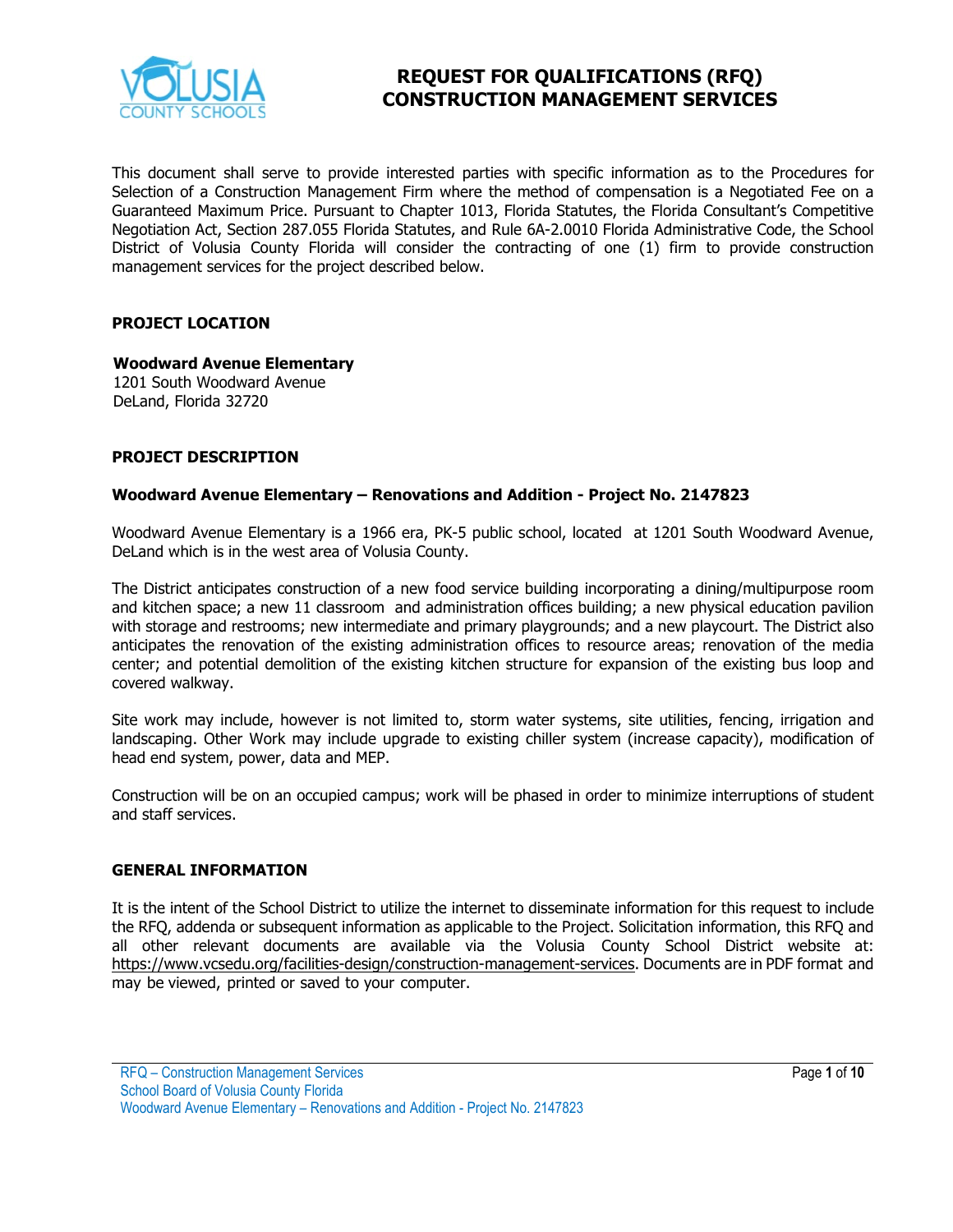

# **REQUEST FOR QUALIFICATIONS (RFQ) CONSTRUCTION MANAGEMENT SERVICES**

This document shall serve to provide interested parties with specific information as to the Procedures for Selection of a Construction Management Firm where the method of compensation is a Negotiated Fee on a Guaranteed Maximum Price. Pursuant to Chapter 1013, Florida Statutes, the Florida Consultant's Competitive Negotiation Act, Section 287.055 Florida Statutes, and Rule 6A-2.0010 Florida Administrative Code, the School District of Volusia County Florida will consider the contracting of one (1) firm to provide construction management services for the project described below.

### **PROJECT LOCATION**

#### **Woodward Avenue Elementary**

1201 South Woodward Avenue DeLand, Florida 32720

### **PROJECT DESCRIPTION**

### **Woodward Avenue Elementary – Renovations and Addition - Project No. 2147823**

Woodward Avenue Elementary is a 1966 era, PK-5 public school, located at 1201 South Woodward Avenue, DeLand which is in the west area of Volusia County.

The District anticipates construction of a new food service building incorporating a dining/multipurpose room and kitchen space; a new 11 classroom and administration offices building; a new physical education pavilion with storage and restrooms; new intermediate and primary playgrounds; and a new playcourt. The District also anticipates the renovation of the existing administration offices to resource areas; renovation of the media center; and potential demolition of the existing kitchen structure for expansion of the existing bus loop and covered walkway.

Site work may include, however is not limited to, storm water systems, site utilities, fencing, irrigation and landscaping. Other Work may include upgrade to existing chiller system (increase capacity), modification of head end system, power, data and MEP.

Construction will be on an occupied campus; work will be phased in order to minimize interruptions of student and staff services.

#### **GENERAL INFORMATION**

It is the intent of the School District to utilize the internet to disseminate information for this request to include the RFQ, addenda or subsequent information as applicable to the Project. Solicitation information, this RFQ and all other relevant documents are available via the Volusia County School District website at: [https://www.vcsedu.org/facilities-design/construction-management-services.](https://www.vcsedu.org/facilities-design/construction-management-services) Documents are in PDF format and may be viewed, printed or saved to your computer.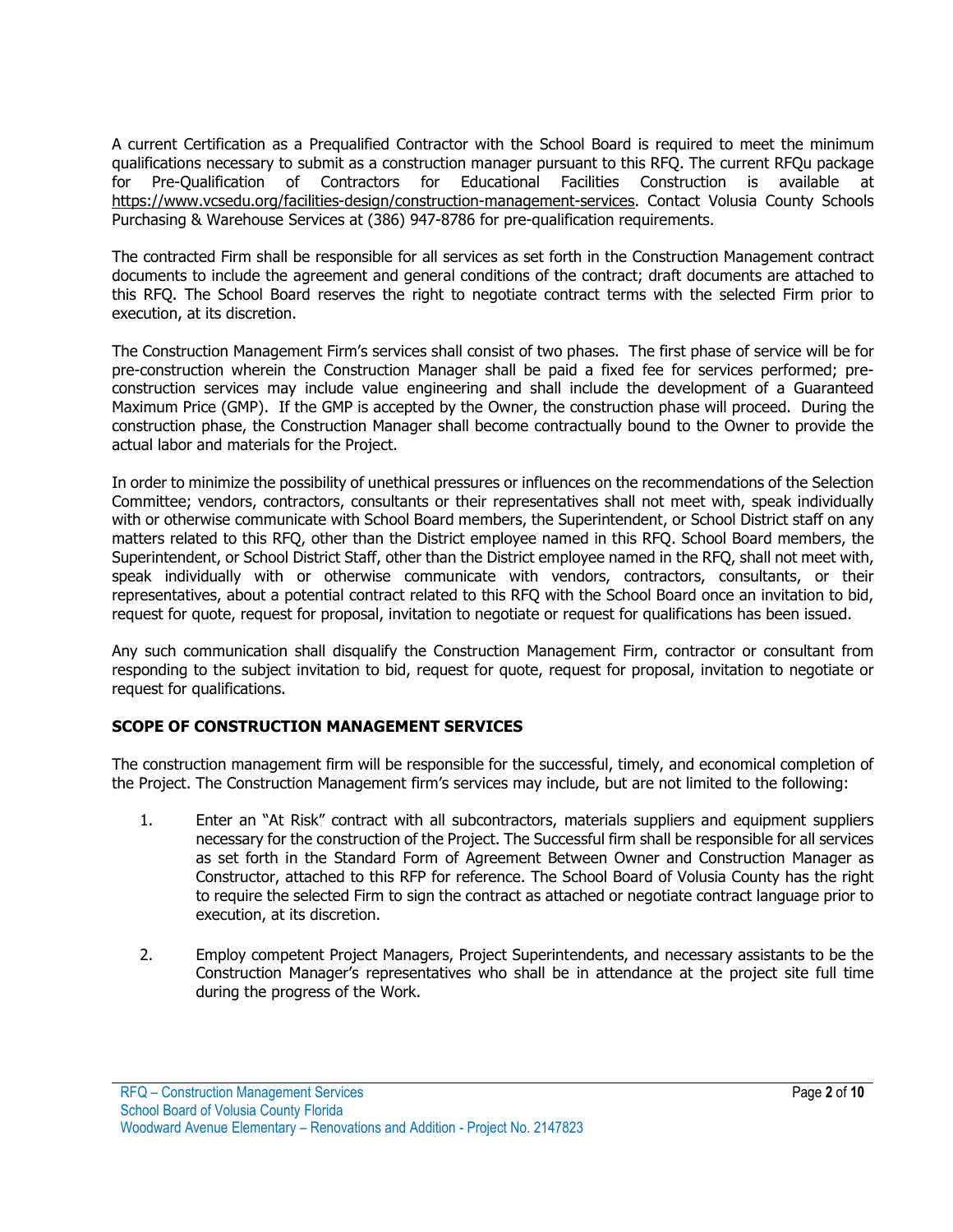A current Certification as a Prequalified Contractor with the School Board is required to meet the minimum qualifications necessary to submit as a construction manager pursuant to this RFQ. The current RFQu package for Pre-Qualification of Contractors for Educational Facilities Construction is available at [https://www.vcsedu.org/facilities-design/construction-management-services.](https://www.vcsedu.org/facilities-design/construction-management-services) Contact Volusia County Schools Purchasing & Warehouse Services at (386) 947-8786 for pre-qualification requirements.

The contracted Firm shall be responsible for all services as set forth in the Construction Management contract documents to include the agreement and general conditions of the contract; draft documents are attached to this RFQ. The School Board reserves the right to negotiate contract terms with the selected Firm prior to execution, at its discretion.

The Construction Management Firm's services shall consist of two phases. The first phase of service will be for pre-construction wherein the Construction Manager shall be paid a fixed fee for services performed; preconstruction services may include value engineering and shall include the development of a Guaranteed Maximum Price (GMP). If the GMP is accepted by the Owner, the construction phase will proceed. During the construction phase, the Construction Manager shall become contractually bound to the Owner to provide the actual labor and materials for the Project.

In order to minimize the possibility of unethical pressures or influences on the recommendations of the Selection Committee; vendors, contractors, consultants or their representatives shall not meet with, speak individually with or otherwise communicate with School Board members, the Superintendent, or School District staff on any matters related to this RFQ, other than the District employee named in this RFQ. School Board members, the Superintendent, or School District Staff, other than the District employee named in the RFQ, shall not meet with, speak individually with or otherwise communicate with vendors, contractors, consultants, or their representatives, about a potential contract related to this RFQ with the School Board once an invitation to bid, request for quote, request for proposal, invitation to negotiate or request for qualifications has been issued.

Any such communication shall disqualify the Construction Management Firm, contractor or consultant from responding to the subject invitation to bid, request for quote, request for proposal, invitation to negotiate or request for qualifications.

### **SCOPE OF CONSTRUCTION MANAGEMENT SERVICES**

The construction management firm will be responsible for the successful, timely, and economical completion of the Project. The Construction Management firm's services may include, but are not limited to the following:

- 1. Enter an "At Risk" contract with all subcontractors, materials suppliers and equipment suppliers necessary for the construction of the Project. The Successful firm shall be responsible for all services as set forth in the Standard Form of Agreement Between Owner and Construction Manager as Constructor, attached to this RFP for reference. The School Board of Volusia County has the right to require the selected Firm to sign the contract as attached or negotiate contract language prior to execution, at its discretion.
- 2. Employ competent Project Managers, Project Superintendents, and necessary assistants to be the Construction Manager's representatives who shall be in attendance at the project site full time during the progress of the Work.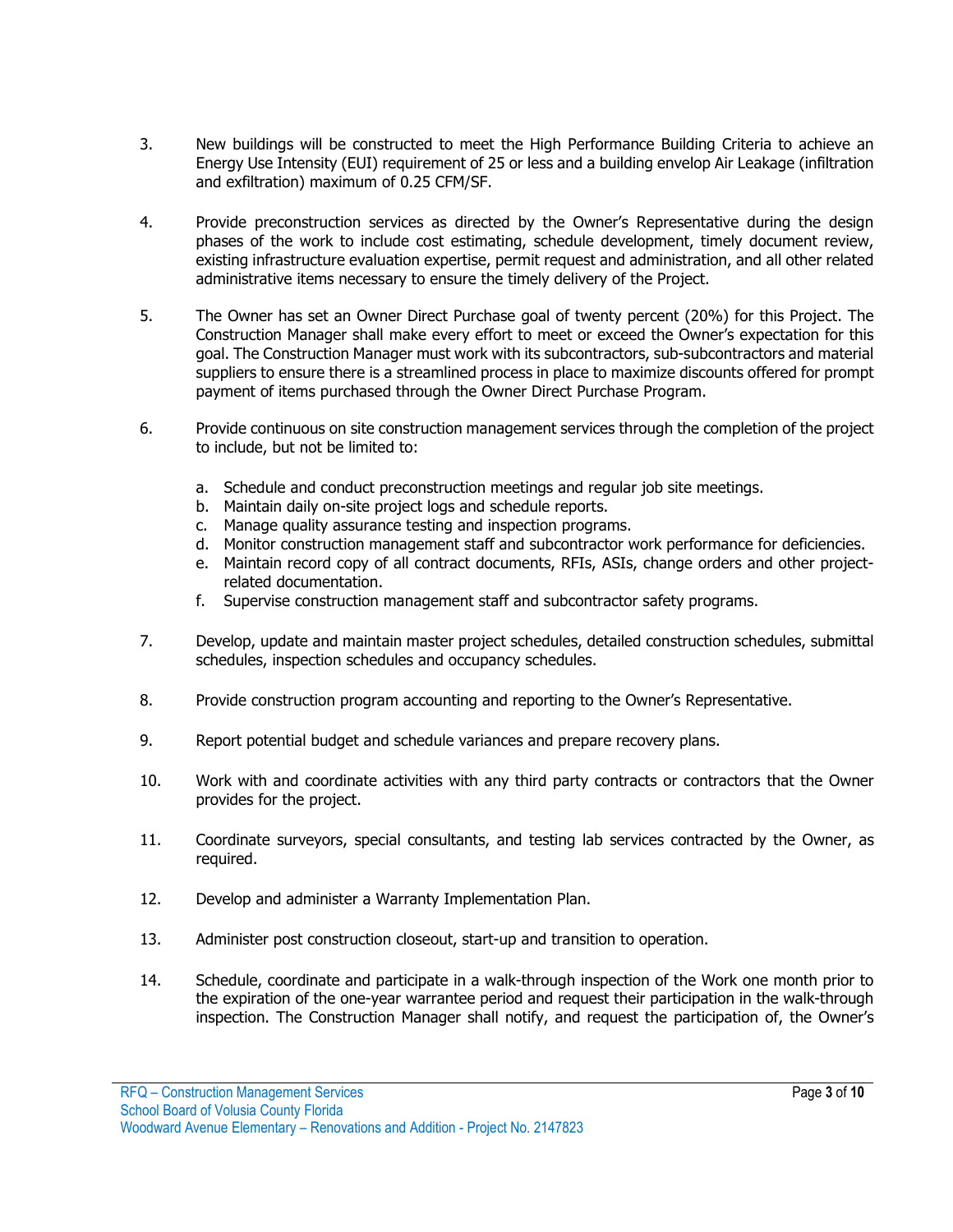- 3. New buildings will be constructed to meet the High Performance Building Criteria to achieve an Energy Use Intensity (EUI) requirement of 25 or less and a building envelop Air Leakage (infiltration and exfiltration) maximum of 0.25 CFM/SF.
- 4. Provide preconstruction services as directed by the Owner's Representative during the design phases of the work to include cost estimating, schedule development, timely document review, existing infrastructure evaluation expertise, permit request and administration, and all other related administrative items necessary to ensure the timely delivery of the Project.
- 5. The Owner has set an Owner Direct Purchase goal of twenty percent (20%) for this Project. The Construction Manager shall make every effort to meet or exceed the Owner's expectation for this goal. The Construction Manager must work with its subcontractors, sub-subcontractors and material suppliers to ensure there is a streamlined process in place to maximize discounts offered for prompt payment of items purchased through the Owner Direct Purchase Program.
- 6. Provide continuous on site construction management services through the completion of the project to include, but not be limited to:
	- a. Schedule and conduct preconstruction meetings and regular job site meetings.
	- b. Maintain daily on-site project logs and schedule reports.
	- c. Manage quality assurance testing and inspection programs.
	- d. Monitor construction management staff and subcontractor work performance for deficiencies.
	- e. Maintain record copy of all contract documents, RFIs, ASIs, change orders and other projectrelated documentation.
	- f. Supervise construction management staff and subcontractor safety programs.
- 7. Develop, update and maintain master project schedules, detailed construction schedules, submittal schedules, inspection schedules and occupancy schedules.
- 8. Provide construction program accounting and reporting to the Owner's Representative.
- 9. Report potential budget and schedule variances and prepare recovery plans.
- 10. Work with and coordinate activities with any third party contracts or contractors that the Owner provides for the project.
- 11. Coordinate surveyors, special consultants, and testing lab services contracted by the Owner, as required.
- 12. Develop and administer a Warranty Implementation Plan.
- 13. Administer post construction closeout, start-up and transition to operation.
- 14. Schedule, coordinate and participate in a walk-through inspection of the Work one month prior to the expiration of the one-year warrantee period and request their participation in the walk-through inspection. The Construction Manager shall notify, and request the participation of, the Owner's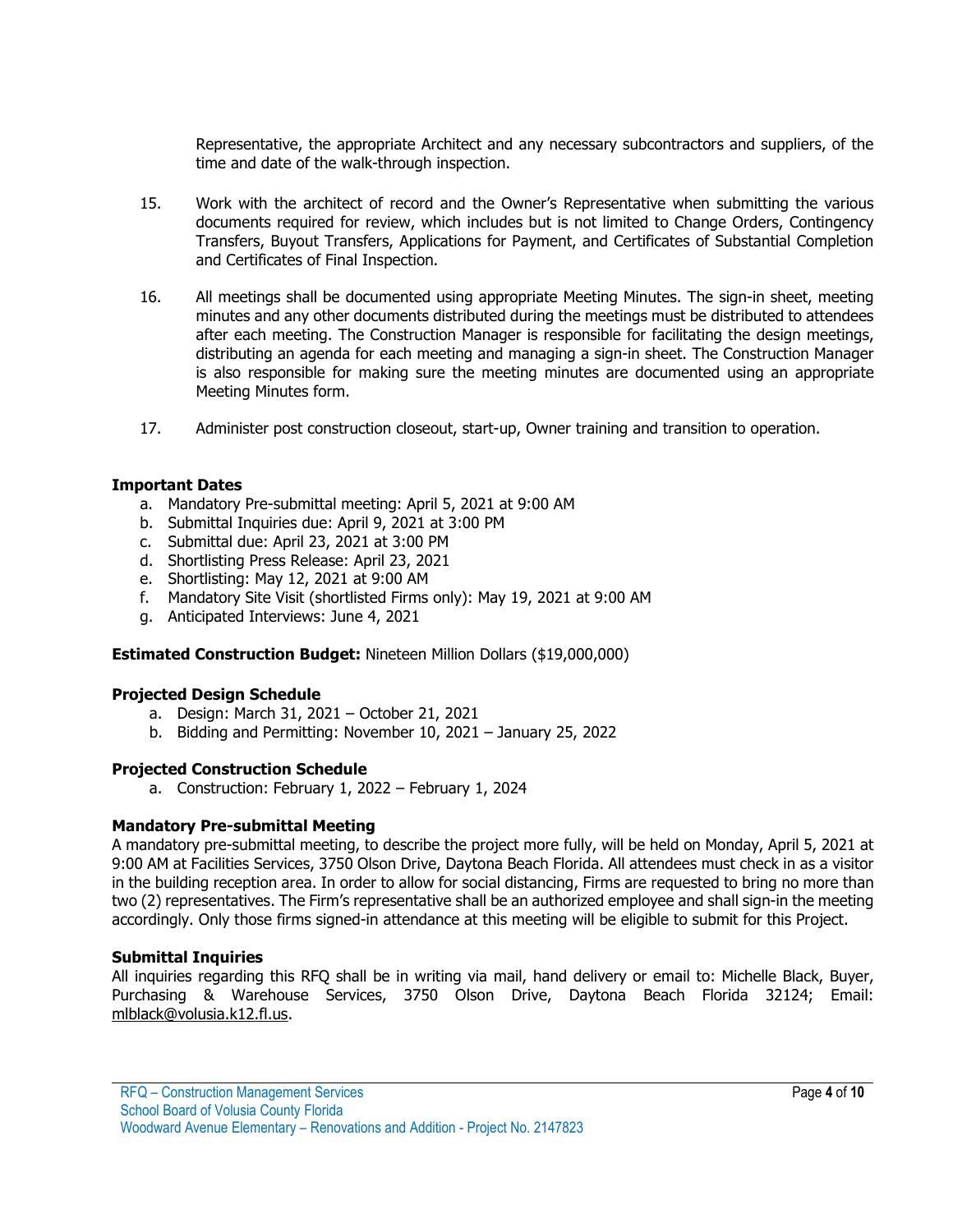Representative, the appropriate Architect and any necessary subcontractors and suppliers, of the time and date of the walk-through inspection.

- 15. Work with the architect of record and the Owner's Representative when submitting the various documents required for review, which includes but is not limited to Change Orders, Contingency Transfers, Buyout Transfers, Applications for Payment, and Certificates of Substantial Completion and Certificates of Final Inspection.
- 16. All meetings shall be documented using appropriate Meeting Minutes. The sign-in sheet, meeting minutes and any other documents distributed during the meetings must be distributed to attendees after each meeting. The Construction Manager is responsible for facilitating the design meetings, distributing an agenda for each meeting and managing a sign-in sheet. The Construction Manager is also responsible for making sure the meeting minutes are documented using an appropriate Meeting Minutes form.
- 17. Administer post construction closeout, start-up, Owner training and transition to operation.

### **Important Dates**

- a. Mandatory Pre-submittal meeting: April 5, 2021 at 9:00 AM
- b. Submittal Inquiries due: April 9, 2021 at 3:00 PM
- c. Submittal due: April 23, 2021 at 3:00 PM
- d. Shortlisting Press Release: April 23, 2021
- e. Shortlisting: May 12, 2021 at 9:00 AM
- f. Mandatory Site Visit (shortlisted Firms only): May 19, 2021 at 9:00 AM
- g. Anticipated Interviews: June 4, 2021

### **Estimated Construction Budget:** Nineteen Million Dollars (\$19,000,000)

#### **Projected Design Schedule**

- a. Design: March 31, 2021 October 21, 2021
- b. Bidding and Permitting: November 10, 2021 January 25, 2022

#### **Projected Construction Schedule**

a. Construction: February 1, 2022 – February 1, 2024

#### **Mandatory Pre-submittal Meeting**

A mandatory pre-submittal meeting, to describe the project more fully, will be held on Monday, April 5, 2021 at 9:00 AM at Facilities Services, 3750 Olson Drive, Daytona Beach Florida. All attendees must check in as a visitor in the building reception area. In order to allow for social distancing, Firms are requested to bring no more than two (2) representatives. The Firm's representative shall be an authorized employee and shall sign-in the meeting accordingly. Only those firms signed-in attendance at this meeting will be eligible to submit for this Project.

#### **Submittal Inquiries**

All inquiries regarding this RFQ shall be in writing via mail, hand delivery or email to: Michelle Black, Buyer, Purchasing & Warehouse Services, 3750 Olson Drive, Daytona Beach Florida 32124; Email: [mlblack@volusia.k12.fl.us.](mailto:mlblack@volusia.k12.fl.us)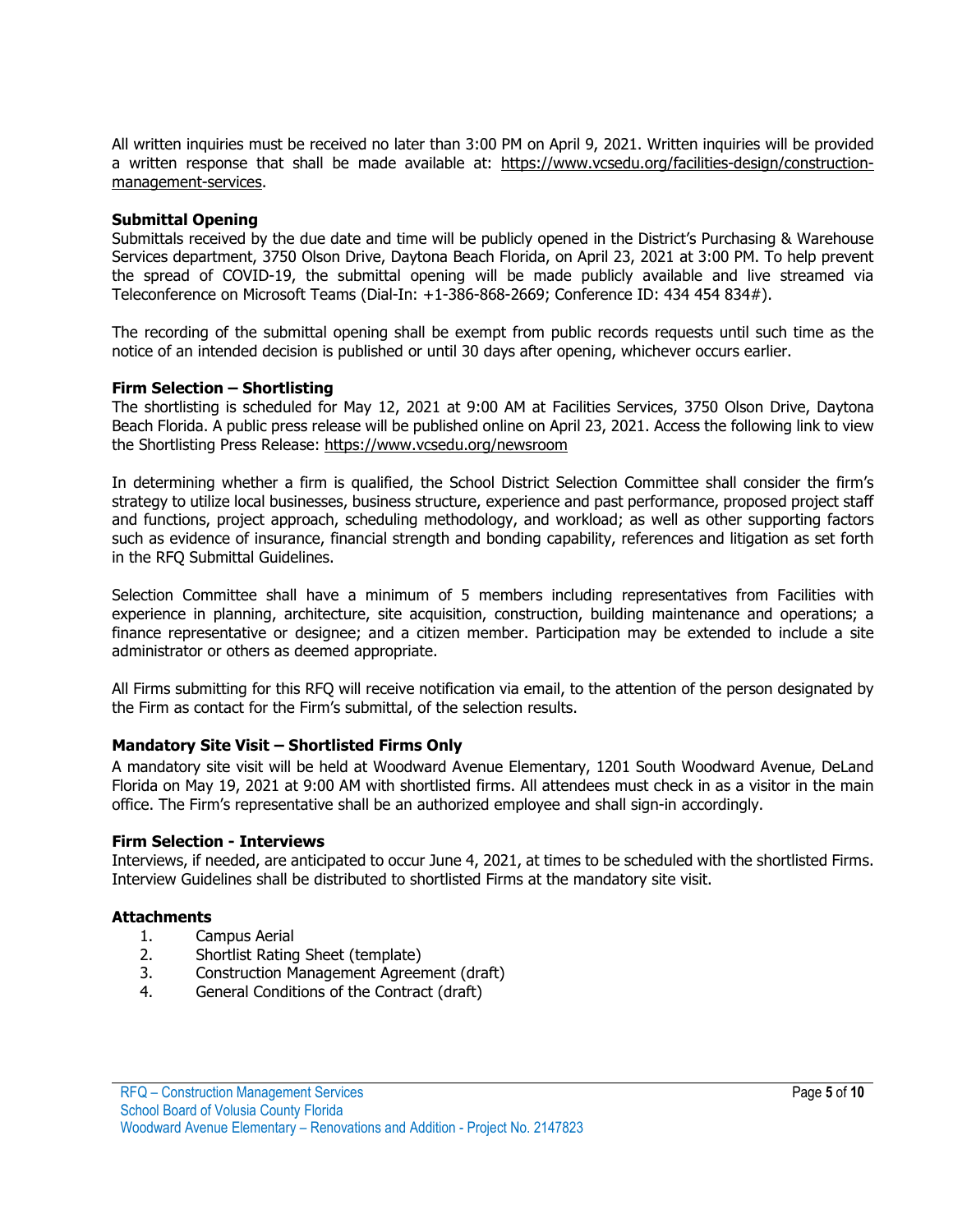All written inquiries must be received no later than 3:00 PM on April 9, 2021. Written inquiries will be provided a written response that shall be made available at: [https://www.vcsedu.org/facilities-design/construction](https://www.vcsedu.org/facilities-design/construction-management-services)[management-services.](https://www.vcsedu.org/facilities-design/construction-management-services)

### **Submittal Opening**

Submittals received by the due date and time will be publicly opened in the District's Purchasing & Warehouse Services department, 3750 Olson Drive, Daytona Beach Florida, on April 23, 2021 at 3:00 PM. To help prevent the spread of COVID-19, the submittal opening will be made publicly available and live streamed via Teleconference on Microsoft Teams (Dial-In: +1-386-868-2669; Conference ID: 434 454 834#).

The recording of the submittal opening shall be exempt from public records requests until such time as the notice of an intended decision is published or until 30 days after opening, whichever occurs earlier.

#### **Firm Selection – Shortlisting**

The shortlisting is scheduled for May 12, 2021 at 9:00 AM at Facilities Services, 3750 Olson Drive, Daytona Beach Florida. A public press release will be published online on April 23, 2021. Access the following link to view the Shortlisting Press Release:<https://www.vcsedu.org/newsroom>

In determining whether a firm is qualified, the School District Selection Committee shall consider the firm's strategy to utilize local businesses, business structure, experience and past performance, proposed project staff and functions, project approach, scheduling methodology, and workload; as well as other supporting factors such as evidence of insurance, financial strength and bonding capability, references and litigation as set forth in the RFQ Submittal Guidelines.

Selection Committee shall have a minimum of 5 members including representatives from Facilities with experience in planning, architecture, site acquisition, construction, building maintenance and operations; a finance representative or designee; and a citizen member. Participation may be extended to include a site administrator or others as deemed appropriate.

All Firms submitting for this RFQ will receive notification via email, to the attention of the person designated by the Firm as contact for the Firm's submittal, of the selection results.

### **Mandatory Site Visit – Shortlisted Firms Only**

A mandatory site visit will be held at Woodward Avenue Elementary, 1201 South Woodward Avenue, DeLand Florida on May 19, 2021 at 9:00 AM with shortlisted firms. All attendees must check in as a visitor in the main office. The Firm's representative shall be an authorized employee and shall sign-in accordingly.

#### **Firm Selection - Interviews**

Interviews, if needed, are anticipated to occur June 4, 2021, at times to be scheduled with the shortlisted Firms. Interview Guidelines shall be distributed to shortlisted Firms at the mandatory site visit.

#### **Attachments**

- 1. Campus Aerial
- 2. Shortlist Rating Sheet (template)
- 3. Construction Management Agreement (draft)<br>4. General Conditions of the Contract (draft)
- General Conditions of the Contract (draft)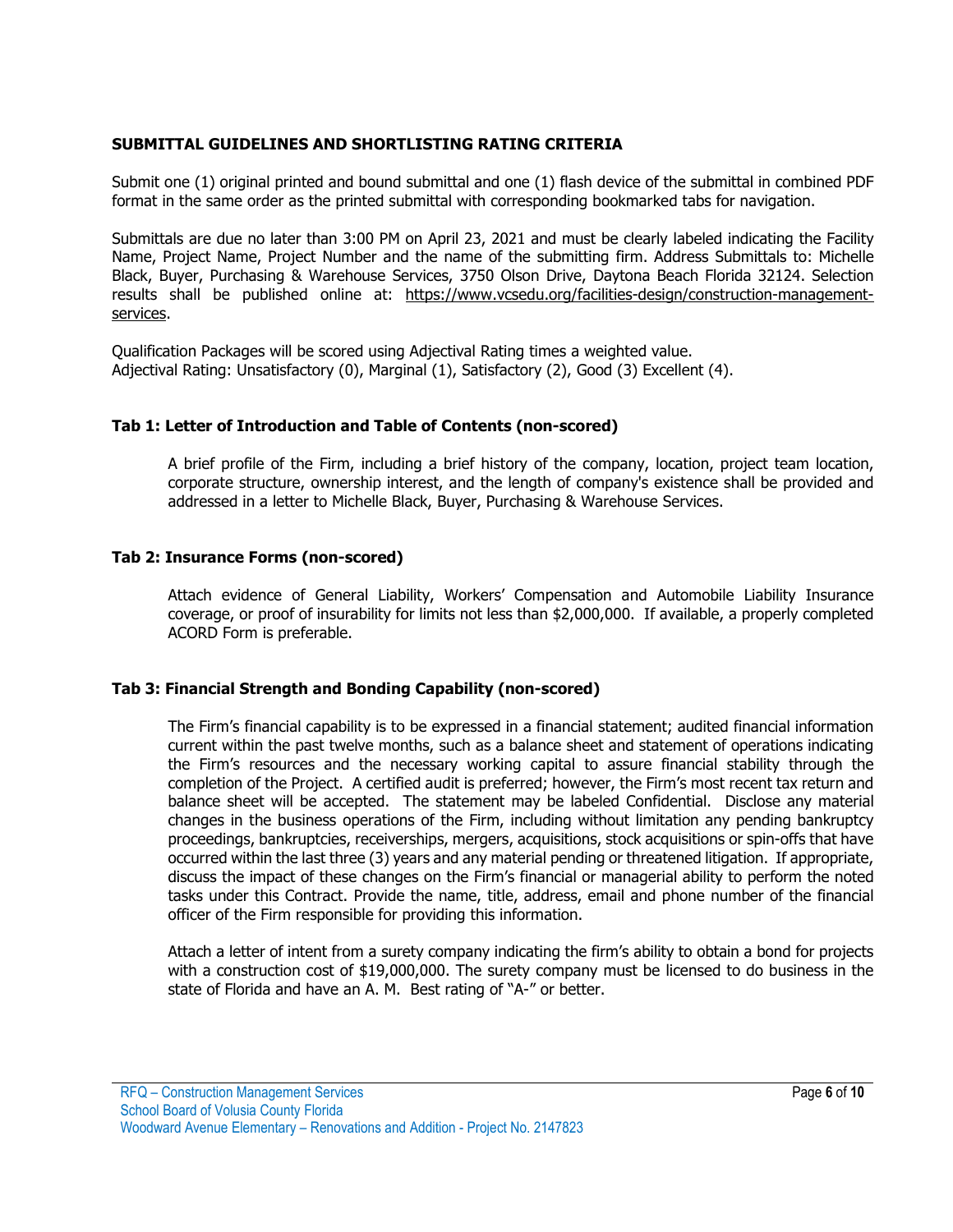# **SUBMITTAL GUIDELINES AND SHORTLISTING RATING CRITERIA**

Submit one (1) original printed and bound submittal and one (1) flash device of the submittal in combined PDF format in the same order as the printed submittal with corresponding bookmarked tabs for navigation.

Submittals are due no later than 3:00 PM on April 23, 2021 and must be clearly labeled indicating the Facility Name, Project Name, Project Number and the name of the submitting firm. Address Submittals to: Michelle Black, Buyer, Purchasing & Warehouse Services, 3750 Olson Drive, Daytona Beach Florida 32124. Selection results shall be published online at: [https://www.vcsedu.org/facilities-design/construction-management](https://www.vcsedu.org/facilities-design/construction-management-services)[services.](https://www.vcsedu.org/facilities-design/construction-management-services)

Qualification Packages will be scored using Adjectival Rating times a weighted value. Adjectival Rating: Unsatisfactory (0), Marginal (1), Satisfactory (2), Good (3) Excellent (4).

### **Tab 1: Letter of Introduction and Table of Contents (non-scored)**

A brief profile of the Firm, including a brief history of the company, location, project team location, corporate structure, ownership interest, and the length of company's existence shall be provided and addressed in a letter to Michelle Black, Buyer, Purchasing & Warehouse Services.

### **Tab 2: Insurance Forms (non-scored)**

Attach evidence of General Liability, Workers' Compensation and Automobile Liability Insurance coverage, or proof of insurability for limits not less than \$2,000,000. If available, a properly completed ACORD Form is preferable.

### **Tab 3: Financial Strength and Bonding Capability (non-scored)**

The Firm's financial capability is to be expressed in a financial statement; audited financial information current within the past twelve months, such as a balance sheet and statement of operations indicating the Firm's resources and the necessary working capital to assure financial stability through the completion of the Project. A certified audit is preferred; however, the Firm's most recent tax return and balance sheet will be accepted. The statement may be labeled Confidential. Disclose any material changes in the business operations of the Firm, including without limitation any pending bankruptcy proceedings, bankruptcies, receiverships, mergers, acquisitions, stock acquisitions or spin-offs that have occurred within the last three (3) years and any material pending or threatened litigation. If appropriate, discuss the impact of these changes on the Firm's financial or managerial ability to perform the noted tasks under this Contract. Provide the name, title, address, email and phone number of the financial officer of the Firm responsible for providing this information.

Attach a letter of intent from a surety company indicating the firm's ability to obtain a bond for projects with a construction cost of \$19,000,000. The surety company must be licensed to do business in the state of Florida and have an A. M. Best rating of "A-" or better.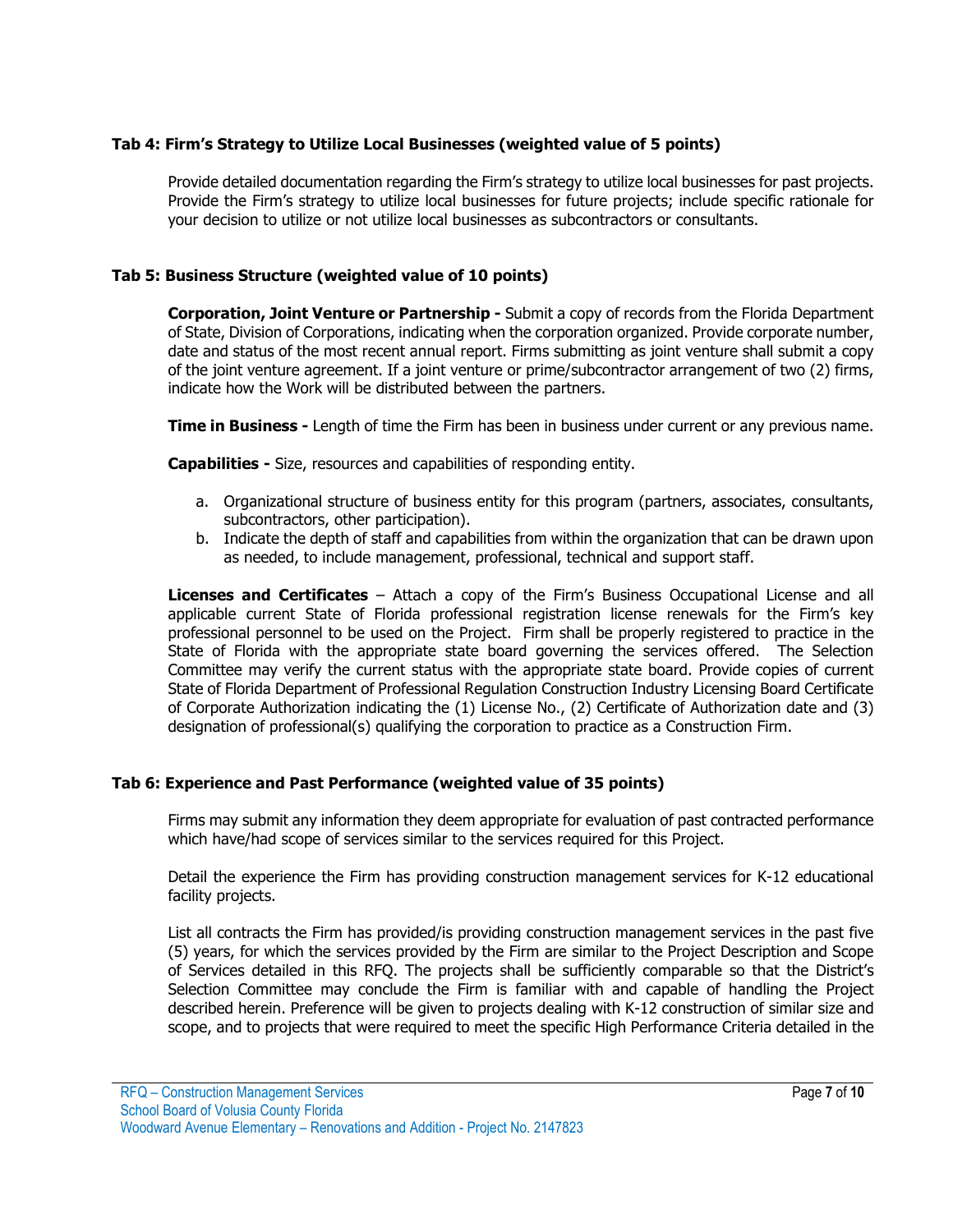# **Tab 4: Firm's Strategy to Utilize Local Businesses (weighted value of 5 points)**

Provide detailed documentation regarding the Firm's strategy to utilize local businesses for past projects. Provide the Firm's strategy to utilize local businesses for future projects; include specific rationale for your decision to utilize or not utilize local businesses as subcontractors or consultants.

## **Tab 5: Business Structure (weighted value of 10 points)**

**Corporation, Joint Venture or Partnership -** Submit a copy of records from the Florida Department of State, Division of Corporations, indicating when the corporation organized. Provide corporate number, date and status of the most recent annual report. Firms submitting as joint venture shall submit a copy of the joint venture agreement. If a joint venture or prime/subcontractor arrangement of two (2) firms, indicate how the Work will be distributed between the partners.

**Time in Business -** Length of time the Firm has been in business under current or any previous name.

**Capabilities -** Size, resources and capabilities of responding entity.

- a. Organizational structure of business entity for this program (partners, associates, consultants, subcontractors, other participation).
- b. Indicate the depth of staff and capabilities from within the organization that can be drawn upon as needed, to include management, professional, technical and support staff.

**Licenses and Certificates** – Attach a copy of the Firm's Business Occupational License and all applicable current State of Florida professional registration license renewals for the Firm's key professional personnel to be used on the Project. Firm shall be properly registered to practice in the State of Florida with the appropriate state board governing the services offered. The Selection Committee may verify the current status with the appropriate state board. Provide copies of current State of Florida Department of Professional Regulation Construction Industry Licensing Board Certificate of Corporate Authorization indicating the (1) License No., (2) Certificate of Authorization date and (3) designation of professional(s) qualifying the corporation to practice as a Construction Firm.

### **Tab 6: Experience and Past Performance (weighted value of 35 points)**

Firms may submit any information they deem appropriate for evaluation of past contracted performance which have/had scope of services similar to the services required for this Project.

Detail the experience the Firm has providing construction management services for K-12 educational facility projects.

List all contracts the Firm has provided/is providing construction management services in the past five (5) years, for which the services provided by the Firm are similar to the Project Description and Scope of Services detailed in this RFQ. The projects shall be sufficiently comparable so that the District's Selection Committee may conclude the Firm is familiar with and capable of handling the Project described herein. Preference will be given to projects dealing with K-12 construction of similar size and scope, and to projects that were required to meet the specific High Performance Criteria detailed in the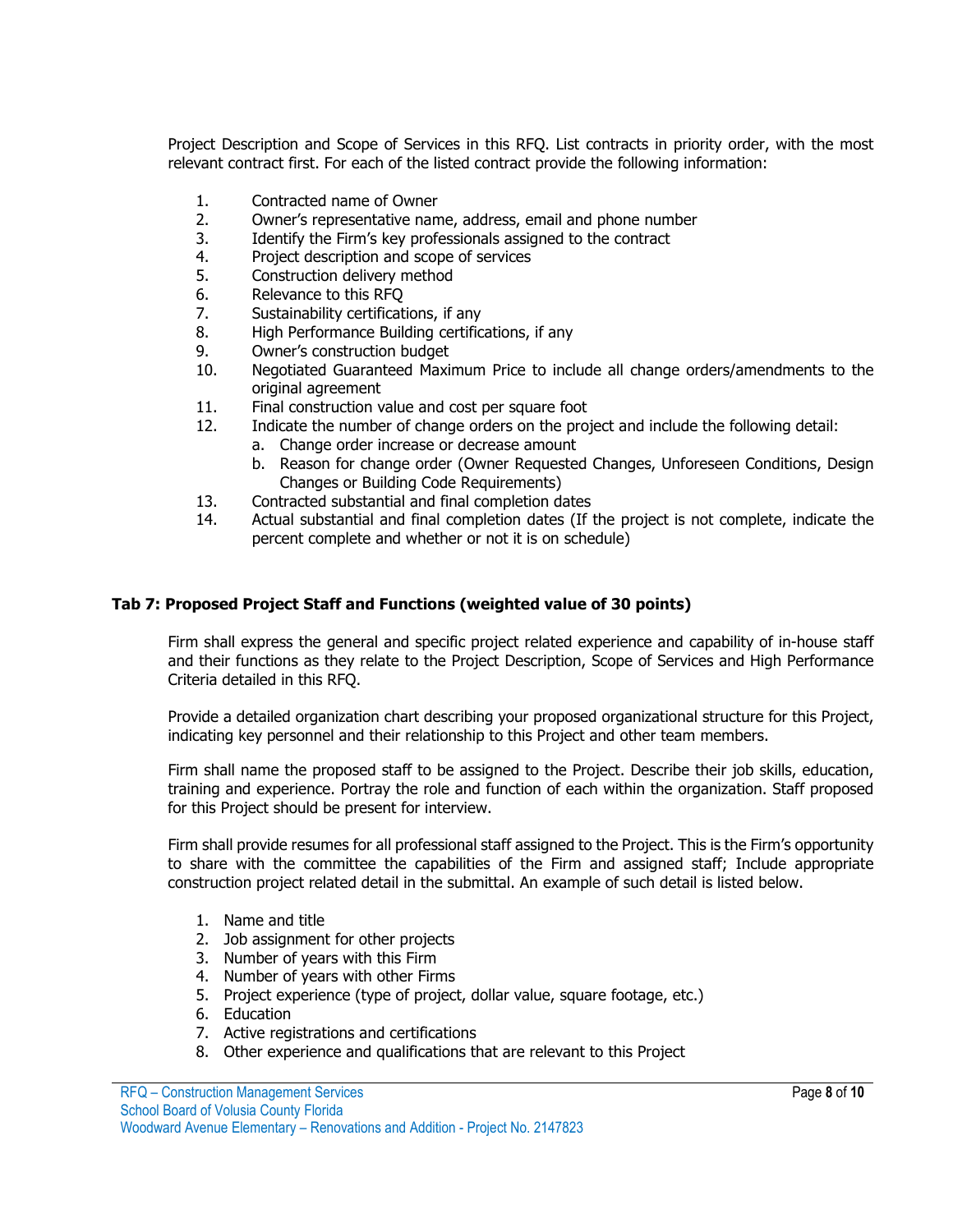Project Description and Scope of Services in this RFQ. List contracts in priority order, with the most relevant contract first. For each of the listed contract provide the following information:

- 1. Contracted name of Owner
- 2. Owner's representative name, address, email and phone number
- 3. Identify the Firm's key professionals assigned to the contract<br>4. Project description and scope of services
- Project description and scope of services
- 5. Construction delivery method<br>6. Relevance to this RFO
- 6. Relevance to this RFQ<br>7. Sustainability certificat
- 7. Sustainability certifications, if any<br>8. High Performance Building certific
- 8. High Performance Building certifications, if any<br>9. Owner's construction budget
- Owner's construction budget
- 10. Negotiated Guaranteed Maximum Price to include all change orders/amendments to the original agreement
- 11. Final construction value and cost per square foot
- 12. Indicate the number of change orders on the project and include the following detail:
	- a. Change order increase or decrease amount
	- b. Reason for change order (Owner Requested Changes, Unforeseen Conditions, Design Changes or Building Code Requirements)
- 13. Contracted substantial and final completion dates<br>14. Actual substantial and final completion dates (If t
- Actual substantial and final completion dates (If the project is not complete, indicate the percent complete and whether or not it is on schedule)

# **Tab 7: Proposed Project Staff and Functions (weighted value of 30 points)**

Firm shall express the general and specific project related experience and capability of in-house staff and their functions as they relate to the Project Description, Scope of Services and High Performance Criteria detailed in this RFQ.

Provide a detailed organization chart describing your proposed organizational structure for this Project, indicating key personnel and their relationship to this Project and other team members.

Firm shall name the proposed staff to be assigned to the Project. Describe their job skills, education, training and experience. Portray the role and function of each within the organization. Staff proposed for this Project should be present for interview.

Firm shall provide resumes for all professional staff assigned to the Project. This is the Firm's opportunity to share with the committee the capabilities of the Firm and assigned staff; Include appropriate construction project related detail in the submittal. An example of such detail is listed below.

- 1. Name and title
- 2. Job assignment for other projects
- 3. Number of years with this Firm
- 4. Number of years with other Firms
- 5. Project experience (type of project, dollar value, square footage, etc.)
- 6. Education
- 7. Active registrations and certifications
- 8. Other experience and qualifications that are relevant to this Project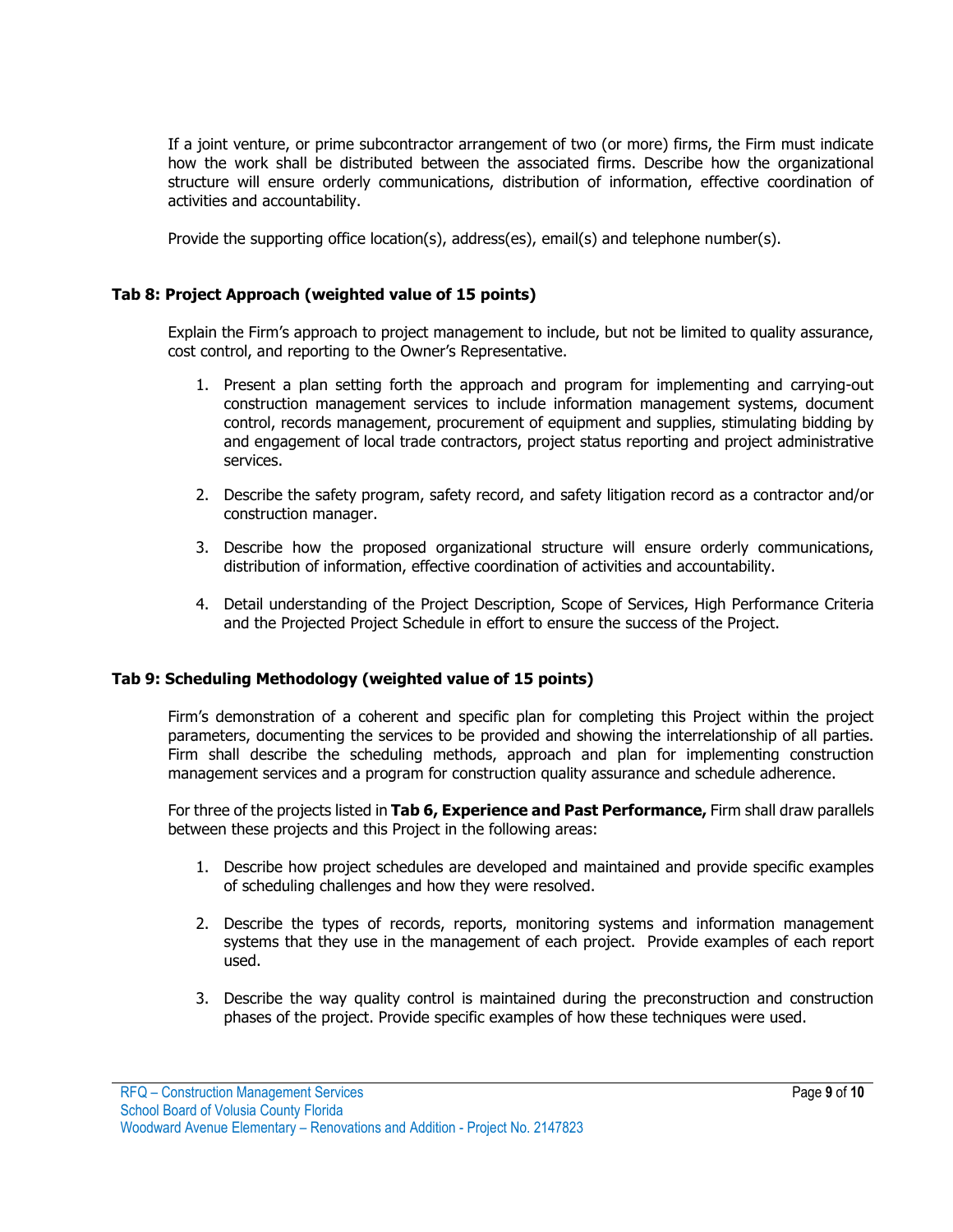If a joint venture, or prime subcontractor arrangement of two (or more) firms, the Firm must indicate how the work shall be distributed between the associated firms. Describe how the organizational structure will ensure orderly communications, distribution of information, effective coordination of activities and accountability.

Provide the supporting office location(s), address(es), email(s) and telephone number(s).

### **Tab 8: Project Approach (weighted value of 15 points)**

Explain the Firm's approach to project management to include, but not be limited to quality assurance, cost control, and reporting to the Owner's Representative.

- 1. Present a plan setting forth the approach and program for implementing and carrying-out construction management services to include information management systems, document control, records management, procurement of equipment and supplies, stimulating bidding by and engagement of local trade contractors, project status reporting and project administrative services.
- 2. Describe the safety program, safety record, and safety litigation record as a contractor and/or construction manager.
- 3. Describe how the proposed organizational structure will ensure orderly communications, distribution of information, effective coordination of activities and accountability.
- 4. Detail understanding of the Project Description, Scope of Services, High Performance Criteria and the Projected Project Schedule in effort to ensure the success of the Project.

#### **Tab 9: Scheduling Methodology (weighted value of 15 points)**

Firm's demonstration of a coherent and specific plan for completing this Project within the project parameters, documenting the services to be provided and showing the interrelationship of all parties. Firm shall describe the scheduling methods, approach and plan for implementing construction management services and a program for construction quality assurance and schedule adherence.

For three of the projects listed in **Tab 6, Experience and Past Performance,** Firm shall draw parallels between these projects and this Project in the following areas:

- 1. Describe how project schedules are developed and maintained and provide specific examples of scheduling challenges and how they were resolved.
- 2. Describe the types of records, reports, monitoring systems and information management systems that they use in the management of each project. Provide examples of each report used.
- 3. Describe the way quality control is maintained during the preconstruction and construction phases of the project. Provide specific examples of how these techniques were used.